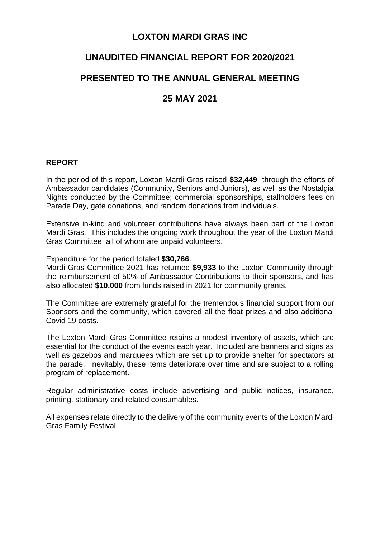### **LOXTON MARDI GRAS INC**

## **UNAUDITED FINANCIAL REPORT FOR 2020/2021**

# **PRESENTED TO THE ANNUAL GENERAL MEETING**

# **25 MAY 2021**

#### **REPORT**

In the period of this report, Loxton Mardi Gras raised **\$32,449** through the efforts of Ambassador candidates (Community, Seniors and Juniors), as well as the Nostalgia Nights conducted by the Committee; commercial sponsorships, stallholders fees on Parade Day, gate donations, and random donations from individuals.

Extensive in-kind and volunteer contributions have always been part of the Loxton Mardi Gras. This includes the ongoing work throughout the year of the Loxton Mardi Gras Committee, all of whom are unpaid volunteers.

Expenditure for the period totaled **\$30,766**.

Mardi Gras Committee 2021 has returned **\$9,933** to the Loxton Community through the reimbursement of 50% of Ambassador Contributions to their sponsors, and has also allocated **\$10,000** from funds raised in 2021 for community grants.

The Committee are extremely grateful for the tremendous financial support from our Sponsors and the community, which covered all the float prizes and also additional Covid 19 costs.

The Loxton Mardi Gras Committee retains a modest inventory of assets, which are essential for the conduct of the events each year. Included are banners and signs as well as gazebos and marquees which are set up to provide shelter for spectators at the parade. Inevitably, these items deteriorate over time and are subject to a rolling program of replacement.

Regular administrative costs include advertising and public notices, insurance, printing, stationary and related consumables.

All expenses relate directly to the delivery of the community events of the Loxton Mardi Gras Family Festival